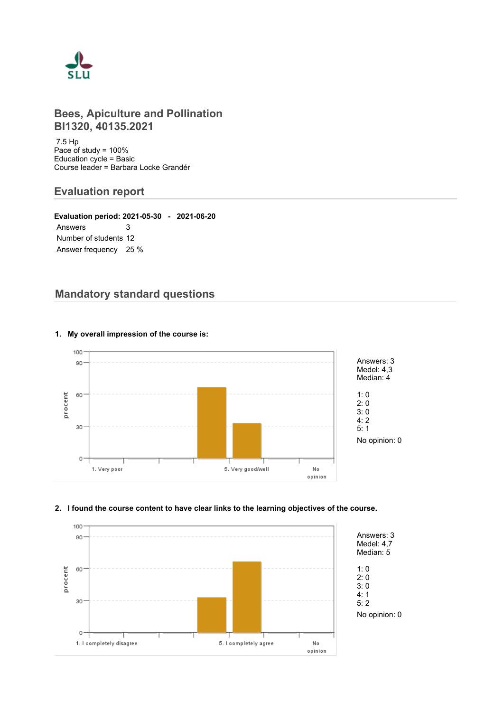

# **Bees, Apiculture and Pollination BI1320, 40135.2021**

 7.5 Hp Pace of study = 100% Education cycle = Basic Course leader = Barbara Locke Grandér

# **Evaluation report**

**Evaluation period: 2021-05-30 - 2021-06-20** Answers 3 Number of students 12 Answer frequency 25 %

# **Mandatory standard questions**



#### **1. My overall impression of the course is:**

#### **2. I found the course content to have clear links to the learning objectives of the course.**

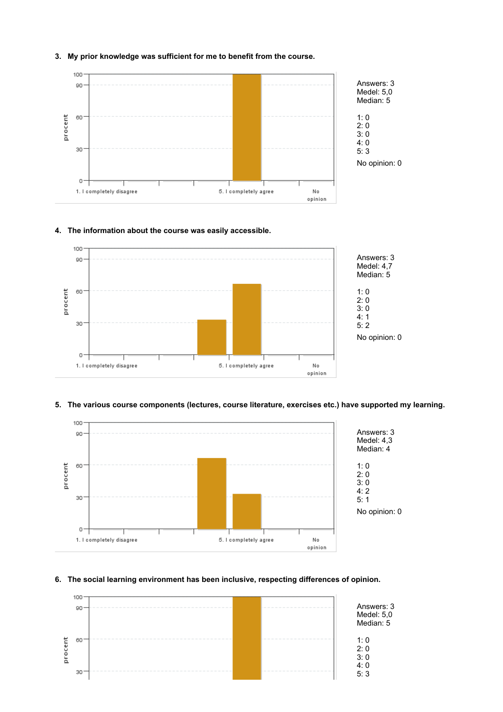

#### **3. My prior knowledge was sufficient for me to benefit from the course.**

#### **4. The information about the course was easily accessible.**



#### **5. The various course components (lectures, course literature, exercises etc.) have supported my learning.**



#### **6. The social learning environment has been inclusive, respecting differences of opinion.**

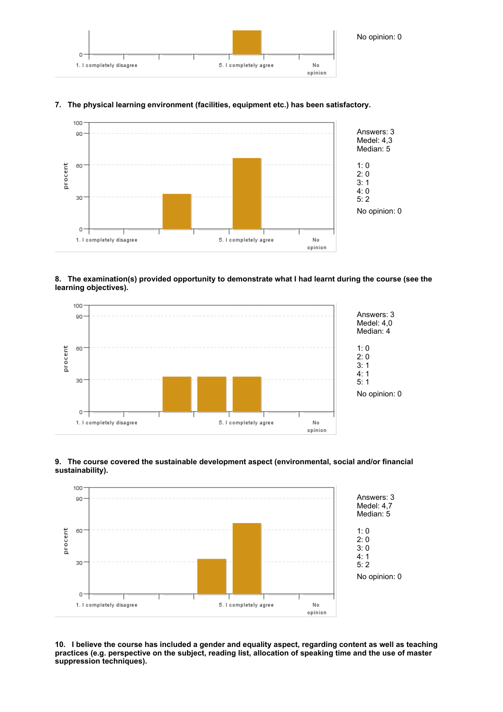

#### **7. The physical learning environment (facilities, equipment etc.) has been satisfactory.**



#### **8. The examination(s) provided opportunity to demonstrate what I had learnt during the course (see the learning objectives).**



#### **9. The course covered the sustainable development aspect (environmental, social and/or financial sustainability).**



**10. I believe the course has included a gender and equality aspect, regarding content as well as teaching practices (e.g. perspective on the subject, reading list, allocation of speaking time and the use of master suppression techniques).**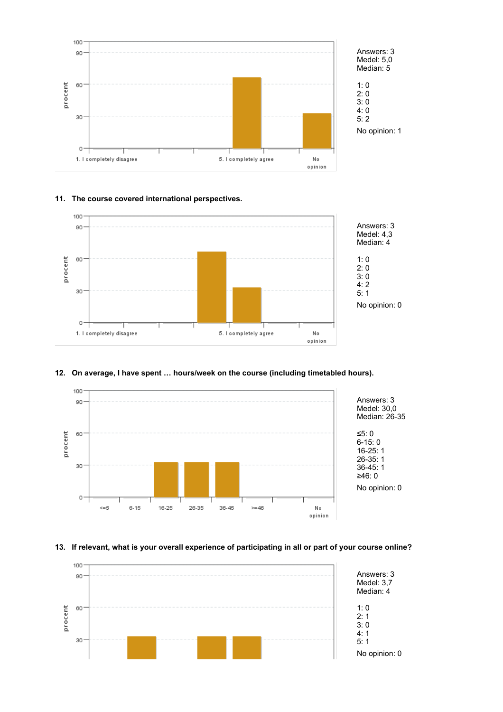

#### **11. The course covered international perspectives.**



#### **12. On average, I have spent … hours/week on the course (including timetabled hours).**



#### **13. If relevant, what is your overall experience of participating in all or part of your course online?**